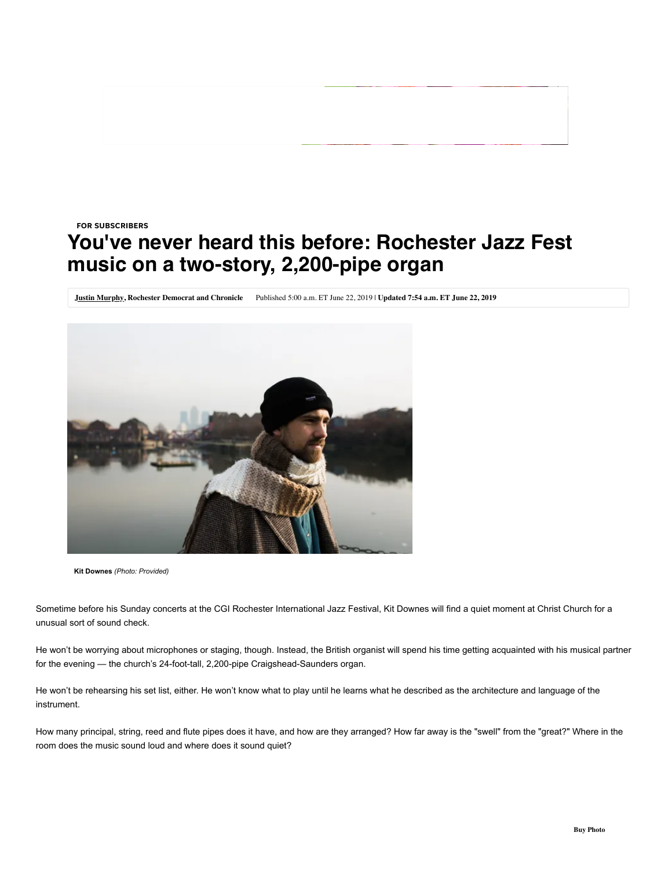## **You've never heard this before: Rochester Jazz Fest music on a two-story, 2,200-pipe organ** FOR SUBSCRIBERS

**[Justin Murphy,](http://www.democratandchronicle.com/staff/2999/justin-murphy/) Rochester Democrat and Chronicle** Published 5:00 a.m. ET June 22, 2019 | **Updated 7:54 a.m. ET June 22, 2019**



**Kit Downes** *(Photo: Provided)*

Sometime before his Sunday concerts at the CGI Rochester International Jazz Festival, Kit Downes will find a quiet moment at Christ Church for a unusual sort of sound check.

He won't be worrying about microphones or staging, though. Instead, the British organist will spend his time getting acquainted with his musical partner for the evening - the church's 24-foot-tall, 2,200-pipe Craigshead-Saunders organ.

He won't be rehearsing his set list, either. He won't know what to play until he learns what he described as the architecture and language of the instrument.

How many principal, string, reed and flute pipes does it have, and how are they arranged? How far away is the "swell" from the "great?" Where in the room does the music sound loud and where does it sound quiet?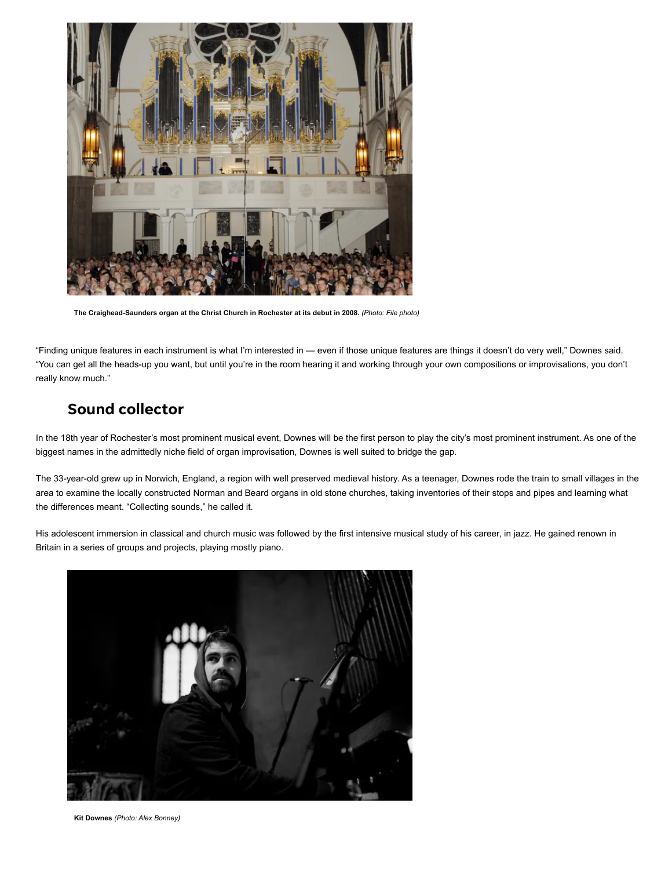

The Craighead-Saunders organ at the Christ Church in Rochester at its debut in 2008. *(Photo: File photo)* 

"Finding unique features in each instrument is what I'm interested in — even if those unique features are things it doesn't do very well," Downes said. "You can get all the heads-up you want, but until you're in the room hearing it and working through your own compositions or improvisations, you don't really know much."

## Sound collector

In the 18th year of Rochester's most prominent musical event, Downes will be the first person to play the city's most prominent instrument. As one of the biggest names in the admittedly niche field of organ improvisation, Downes is well suited to bridge the gap.

The 33-year-old grew up in Norwich, England, a region with well preserved medieval history. As a teenager, Downes rode the train to small villages in the area to examine the locally constructed Norman and Beard organs in old stone churches, taking inventories of their stops and pipes and learning what the differences meant. "Collecting sounds," he called it.

His adolescent immersion in classical and church music was followed by the first intensive musical study of his career, in jazz. He gained renown in Britain in a series of groups and projects, playing mostly piano.



**Kit Downes** *(Photo: Alex Bonney)*